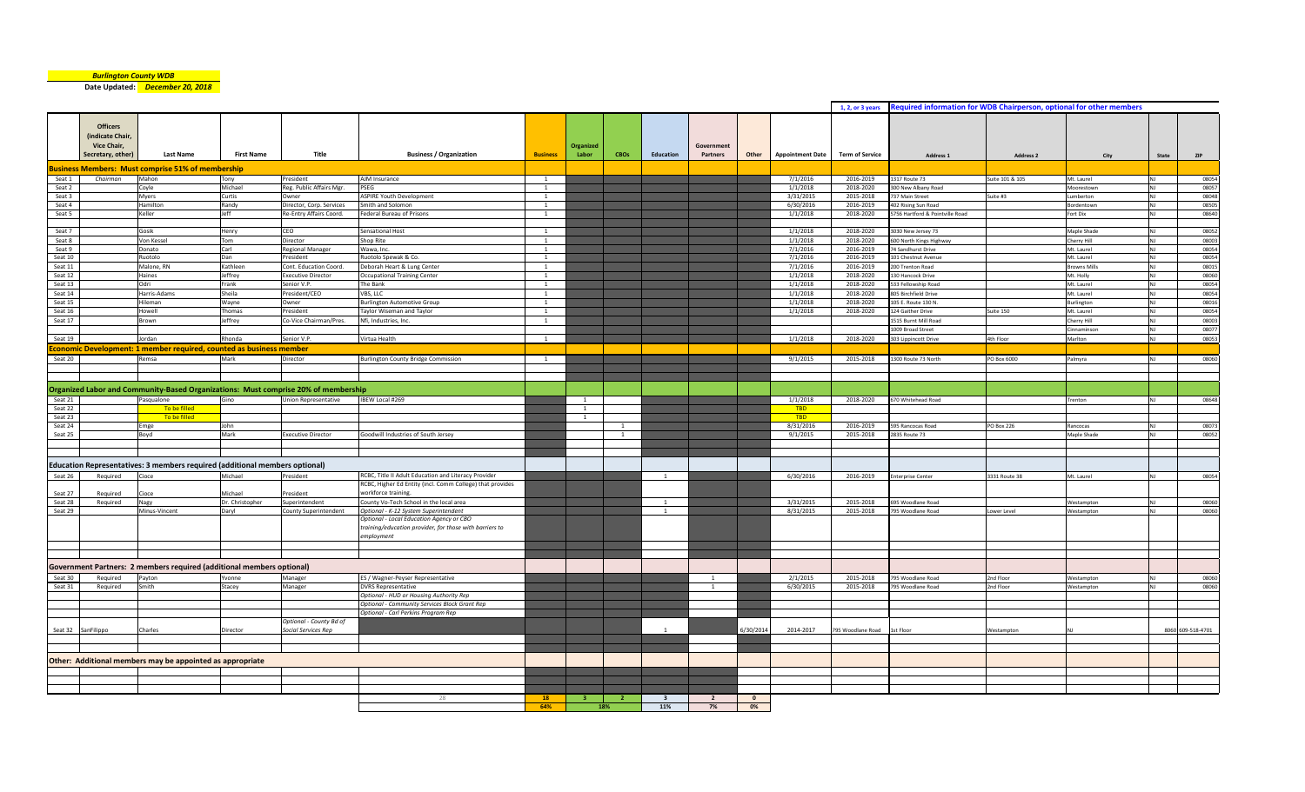## *December 20, 2018* **Date Updated:** *Burlington County WDB*

|                                                                                    |                                                                         |                                                                                    |                          |                             |                                                                                   |                 |                            |                |                         |                        |                         |                         | 1, 2, or 3 years       | <b>Required information for WDB Chairperson, optional for other members</b> |                   |                          |                      |                   |
|------------------------------------------------------------------------------------|-------------------------------------------------------------------------|------------------------------------------------------------------------------------|--------------------------|-----------------------------|-----------------------------------------------------------------------------------|-----------------|----------------------------|----------------|-------------------------|------------------------|-------------------------|-------------------------|------------------------|-----------------------------------------------------------------------------|-------------------|--------------------------|----------------------|-------------------|
|                                                                                    | <b>Officers</b><br>(indicate Chair,<br>Vice Chair,<br>Secretary, other) | <b>Last Name</b>                                                                   | <b>First Name</b>        | Title                       | <b>Business / Organization</b>                                                    | <b>Business</b> | Organized<br>Labor         | <b>CBOs</b>    | Education               | Government<br>Partners | Other                   | <b>Appointment Date</b> | <b>Term of Service</b> | Address 1                                                                   | <b>Address 2</b>  | City                     | State                | <b>ZIP</b>        |
| <b>Business Members: Must comprise 51% of membership</b>                           |                                                                         |                                                                                    |                          |                             |                                                                                   |                 |                            |                |                         |                        |                         |                         |                        |                                                                             |                   |                          |                      |                   |
| Seat 1                                                                             | Chairman                                                                | Mahon                                                                              | Tony                     | President                   | AJM Insurance                                                                     | $\overline{1}$  |                            |                |                         |                        |                         | 7/1/2016                | 2016-2019              | 1317 Route 73                                                               | Suite 101 & 105   | Mt. Laurel               |                      | 08054             |
| Seat 2                                                                             |                                                                         | Coyle                                                                              | Michael                  | Reg. Public Affairs Mgr.    | PSEG                                                                              | <sup>1</sup>    |                            |                |                         |                        |                         | 1/1/2018                | 2018-2020              | 300 New Albany Road                                                         |                   | Moorestown               | <b>NJ</b>            | 0805              |
| Seat 3                                                                             |                                                                         | Myers                                                                              | Curtis                   | <b>Owner</b>                | SPIRE Youth Development                                                           | $\mathbf{1}$    |                            |                |                         |                        |                         | 3/31/2015               | 2015-2018              | 37 Main Street                                                              | uite #3           | <i>imberton</i>          |                      | 08048             |
| Seat 4                                                                             |                                                                         | Hamilton                                                                           | Randy                    | Director, Corp. Services    | Smith and Solomon                                                                 | $\mathbf{1}$    |                            |                |                         |                        |                         | 6/30/2016               | 2016-2019              | 402 Rising Sun Road                                                         |                   | Bordentown               | NΙ                   | 08505             |
| Seat 5                                                                             |                                                                         | Keller                                                                             | Jeff                     | Re-Entry Affairs Coord.     | Federal Bureau of Prisons                                                         | $\overline{1}$  |                            |                |                         |                        |                         | 1/1/2018                | 2018-2020              | 5756 Hartford & Pointville Road                                             |                   | Fort Dix                 | NJ                   | 08640             |
|                                                                                    |                                                                         |                                                                                    |                          |                             |                                                                                   |                 |                            |                |                         |                        |                         |                         |                        |                                                                             |                   |                          |                      |                   |
| Seat 7                                                                             |                                                                         | Gosik                                                                              | Henry                    | CEO                         | Sensational Host                                                                  | $\overline{1}$  |                            |                |                         |                        |                         | 1/1/2018                | 2018-2020              | 3030 New Jersey 73                                                          |                   | Maple Shade              | NI                   | 08052             |
| Seat 8                                                                             |                                                                         | Von Kessel                                                                         | Tom                      | Director                    | Shop Rite                                                                         | $\overline{1}$  |                            |                |                         |                        |                         | 1/1/2018                | 2018-2020              | 600 North Kings Highway                                                     |                   | Cherry Hill              |                      | 08003             |
| Seat 9                                                                             |                                                                         | Donato                                                                             | Carl                     | Regional Manager            | Wawa, Inc.                                                                        | $\overline{1}$  |                            |                |                         |                        |                         | 7/1/2016                | 2016-2019              | 74 Sandhurst Drive                                                          |                   | Mt. Laurel               |                      | 08054             |
| Seat 10                                                                            |                                                                         | Ruotolo                                                                            | Dan                      | resident                    | Ruotolo Spewak & Co.                                                              | <sup>1</sup>    |                            |                |                         |                        |                         | 7/1/2016                | 2016-2019              | 101 Chestnut Avenue                                                         |                   | Mt. Laurel               |                      | 08054             |
| Seat 11                                                                            |                                                                         | Malone, RN                                                                         | Kathleen                 | Cont. Education Coord.      | Deborah Heart & Lung Center                                                       | -1              |                            |                |                         |                        |                         | 7/1/2016                | 2016-2019              | 200 Trenton Road                                                            |                   | <b>Browns Mills</b>      | NJ                   | 08015             |
| Seat 12                                                                            |                                                                         | Haines                                                                             | Jeffrey                  | <b>Executive Director</b>   | Occupational Training Center                                                      | $\mathbf{1}$    |                            |                |                         |                        |                         | 1/1/2018                | 2018-2020              | 130 Hancock Drive                                                           |                   | Mt. Holly                | NJ                   | 08060             |
| Seat 13                                                                            |                                                                         | Odri                                                                               | Frank                    | Senior V.P.                 | The Bank                                                                          | $\overline{1}$  |                            |                |                         |                        |                         | 1/1/2018                | 2018-2020              | 533 Fellowship Road                                                         |                   | Mt. Laurel               | N1                   | 08054             |
| Seat 14                                                                            |                                                                         | Harris-Adams                                                                       | Sheila                   | resident/CEO                | /BS, LLC                                                                          | $\mathbf{1}$    |                            |                |                         |                        |                         | 1/1/2018                | 2018-2020              | 805 Birchfield Drive                                                        |                   | Mt. Laurel               |                      | 08054             |
| Seat 15                                                                            |                                                                         | Hileman                                                                            | Wayne                    | Owner                       | <b>Burlington Automotive Group</b>                                                | $\overline{1}$  |                            |                |                         |                        |                         | 1/1/2018                | 2018-2020              | 105 E. Route 130 N.                                                         |                   | Burlington               | ΝI                   | 08016             |
| Seat 16                                                                            |                                                                         | Howell                                                                             | Thomas                   | President                   | Taylor Wiseman and Taylor                                                         | $\mathbf{1}$    |                            |                |                         |                        |                         | 1/1/2018                | 2018-2020              | 124 Gaither Drive                                                           | Suite 150         | Mt. Laurel               | NJ                   | 08054             |
| Seat 17                                                                            |                                                                         | Brown                                                                              | Jeffrey                  | Co-Vice Chairman/Pres.      | Nfi, Industries, Inc.                                                             | $\mathbf{1}$    |                            |                |                         |                        |                         |                         |                        | 1515 Burnt Mill Road                                                        |                   | Cherry Hill              | N <sub>1</sub>       | 08003             |
|                                                                                    |                                                                         |                                                                                    |                          |                             |                                                                                   |                 |                            |                |                         |                        |                         |                         |                        | 1009 Broad Street                                                           |                   | Cinnaminson              | N <sub>1</sub>       | 0807              |
| Seat 19                                                                            |                                                                         | Jordan                                                                             | Rhonda                   | Senior V.P.                 | Virtua Health                                                                     | $\overline{1}$  |                            |                |                         |                        |                         | 1/1/2018                | 2018-2020              | 303 Lippincott Drive                                                        | 4th Floor         | Marlton                  | N <sub>1</sub>       | 08053             |
|                                                                                    |                                                                         | <b>Economic Development: 1 member required, counted as business member</b>         |                          |                             |                                                                                   |                 |                            |                |                         |                        |                         |                         |                        |                                                                             |                   |                          |                      |                   |
| Seat 20                                                                            |                                                                         | Remsa                                                                              | Mark                     | Director                    | <b>Burlington County Bridge Commission</b>                                        | <sup>1</sup>    |                            |                |                         |                        |                         | 9/1/2015                | 2015-2018              | 1300 Route 73 North                                                         | PO Box 6000       | Palmyra                  |                      | 08060             |
|                                                                                    |                                                                         |                                                                                    |                          |                             |                                                                                   |                 |                            |                |                         |                        |                         |                         |                        |                                                                             |                   |                          |                      |                   |
|                                                                                    |                                                                         |                                                                                    |                          |                             |                                                                                   |                 |                            |                |                         |                        |                         |                         |                        |                                                                             |                   |                          |                      |                   |
|                                                                                    |                                                                         | Organized Labor and Community-Based Organizations: Must comprise 20% of membership |                          |                             |                                                                                   |                 |                            |                |                         |                        |                         |                         |                        |                                                                             |                   |                          |                      |                   |
| Seat 21                                                                            |                                                                         | Pasqualone                                                                         | Gino                     | <b>Jnion Representative</b> | IBEW Local #269                                                                   |                 | 1                          |                |                         |                        |                         | 1/1/2018                | 2018-2020              | 670 Whitehead Road                                                          |                   | Trenton                  |                      | 08648             |
| Seat 22                                                                            |                                                                         | To be filled                                                                       |                          |                             |                                                                                   |                 | $\overline{1}$             |                |                         |                        |                         | <b>TBD</b>              |                        |                                                                             |                   |                          |                      |                   |
| Seat 23                                                                            |                                                                         | To be filled                                                                       |                          |                             |                                                                                   |                 | $\overline{1}$             |                |                         |                        |                         | <b>TBD</b>              |                        |                                                                             |                   |                          |                      |                   |
| Seat 24                                                                            |                                                                         | Emge                                                                               | John                     |                             |                                                                                   |                 |                            | $\overline{1}$ |                         |                        |                         | 8/31/2016               | 2016-2019              | 595 Rancocas Road                                                           | <b>PO Box 226</b> | Rancocas                 | N1                   | 08073             |
| Seat 25                                                                            |                                                                         | Boyd                                                                               | Mark                     | Executive Director          | Goodwill Industries of South Jersey                                               |                 |                            |                |                         |                        |                         | 9/1/2015                | 2015-2018              | 2835 Route 73                                                               |                   | Maple Shade              |                      | 08052             |
|                                                                                    |                                                                         |                                                                                    |                          |                             |                                                                                   |                 |                            |                |                         |                        |                         |                         |                        |                                                                             |                   |                          |                      |                   |
|                                                                                    |                                                                         |                                                                                    |                          |                             |                                                                                   |                 |                            |                |                         |                        |                         |                         |                        |                                                                             |                   |                          |                      |                   |
| <b>Education Representatives: 3 members required (additional members optional)</b> |                                                                         |                                                                                    |                          |                             |                                                                                   |                 |                            |                |                         |                        |                         |                         |                        |                                                                             |                   |                          |                      |                   |
|                                                                                    |                                                                         |                                                                                    |                          |                             |                                                                                   |                 |                            |                |                         |                        |                         |                         |                        |                                                                             |                   |                          |                      |                   |
| Seat 26                                                                            | Required                                                                | Cioce                                                                              | Michael                  | resident                    | RCBC, Title II Adult Education and Literacy Provider                              |                 |                            |                |                         |                        |                         | 6/30/2016               | 2016-2019              | <b>Enterprise Center</b>                                                    | 3331 Route 38     | Mt. Laurel               |                      | 08054             |
|                                                                                    |                                                                         |                                                                                    |                          |                             | RCBC, Higher Ed Entity (incl. Comm College) that provides                         |                 |                            |                |                         |                        |                         |                         |                        |                                                                             |                   |                          |                      |                   |
| Seat 27                                                                            | Required                                                                | Cioce                                                                              | Michael                  | resident                    | workforce training.                                                               |                 |                            |                | $\overline{1}$          |                        |                         |                         |                        |                                                                             |                   |                          |                      |                   |
| Seat 28<br>Seat 29                                                                 | Required                                                                | Nagy<br>Minus-Vincent                                                              | Dr. Christopher<br>Darvl | Superintendent              | County Vo-Tech School in the local area                                           |                 |                            |                | $\overline{1}$          |                        |                         | 3/31/2015<br>8/31/2015  | 2015-2018<br>2015-2018 | 695 Woodlane Road<br>795 Woodlane Road                                      | ower Level        | Westampton<br>Westampton | NI<br>N <sub>1</sub> | 08060<br>08060    |
|                                                                                    |                                                                         |                                                                                    |                          | County Superintendent       | Optional - K-12 System Superintendent<br>Optional - Local Education Agency or CBO |                 |                            |                |                         |                        |                         |                         |                        |                                                                             |                   |                          |                      |                   |
|                                                                                    |                                                                         |                                                                                    |                          |                             | training/education provider, for those with barriers to                           |                 |                            |                |                         |                        |                         |                         |                        |                                                                             |                   |                          |                      |                   |
|                                                                                    |                                                                         |                                                                                    |                          |                             | mployment                                                                         |                 |                            |                |                         |                        |                         |                         |                        |                                                                             |                   |                          |                      |                   |
|                                                                                    |                                                                         |                                                                                    |                          |                             |                                                                                   |                 |                            |                |                         |                        |                         |                         |                        |                                                                             |                   |                          |                      |                   |
|                                                                                    |                                                                         |                                                                                    |                          |                             |                                                                                   |                 |                            |                |                         |                        |                         |                         |                        |                                                                             |                   |                          |                      |                   |
|                                                                                    |                                                                         |                                                                                    |                          |                             |                                                                                   |                 |                            |                |                         |                        |                         |                         |                        |                                                                             |                   |                          |                      |                   |
|                                                                                    |                                                                         | Government Partners: 2 members required (additional members optional)              |                          |                             |                                                                                   |                 |                            |                |                         |                        |                         |                         |                        |                                                                             |                   |                          |                      |                   |
| Seat 30                                                                            | Required                                                                | Payton                                                                             | Yvonne                   | Manager                     | ES / Wagner-Peyser Representative                                                 |                 |                            |                |                         | -1                     |                         | 2/1/2015                | 2015-2018              | 795 Woodlane Road                                                           | Ind Floor         | Westampton               |                      | 08060             |
| Seat 31                                                                            | Required                                                                | Smith                                                                              | Stacey                   | Manager                     | <b>DVRS Representative</b>                                                        |                 |                            |                |                         | 1                      |                         | 6/30/2015               | 2015-2018              | 795 Woodlane Road                                                           | 2nd Floor         | Westampton               | NJ                   | 08060             |
|                                                                                    |                                                                         |                                                                                    |                          |                             | Optional - HUD or Housing Authority Rep                                           |                 |                            |                |                         |                        |                         |                         |                        |                                                                             |                   |                          |                      |                   |
|                                                                                    |                                                                         |                                                                                    |                          |                             | Optional - Community Services Block Grant Rep                                     |                 |                            |                |                         |                        |                         |                         |                        |                                                                             |                   |                          |                      |                   |
|                                                                                    |                                                                         |                                                                                    |                          |                             | Optional - Carl Perkins Program Rep                                               |                 |                            |                |                         |                        |                         |                         |                        |                                                                             |                   |                          |                      |                   |
|                                                                                    |                                                                         |                                                                                    |                          | Optional - County Bd of     |                                                                                   |                 |                            |                |                         |                        |                         |                         |                        |                                                                             |                   |                          |                      |                   |
|                                                                                    | Seat 32 SanFilippo                                                      | Charles                                                                            | Director                 | ocial Services Rep          |                                                                                   |                 |                            |                | $\mathbf{1}$            |                        | 5/30/2014               | 2014-2017               | 795 Woodlane Road      | 1st Floor                                                                   | Nestampton        |                          |                      | 8060 609-518-4701 |
|                                                                                    |                                                                         |                                                                                    |                          |                             |                                                                                   |                 |                            |                |                         |                        |                         |                         |                        |                                                                             |                   |                          |                      |                   |
|                                                                                    |                                                                         |                                                                                    |                          |                             |                                                                                   |                 |                            |                |                         |                        |                         |                         |                        |                                                                             |                   |                          |                      |                   |
|                                                                                    |                                                                         | Other: Additional members may be appointed as appropriate                          |                          |                             |                                                                                   |                 |                            |                |                         |                        |                         |                         |                        |                                                                             |                   |                          |                      |                   |
|                                                                                    |                                                                         |                                                                                    |                          |                             |                                                                                   |                 |                            |                |                         |                        |                         |                         |                        |                                                                             |                   |                          |                      |                   |
|                                                                                    |                                                                         |                                                                                    |                          |                             |                                                                                   |                 |                            |                |                         |                        |                         |                         |                        |                                                                             |                   |                          |                      |                   |
|                                                                                    |                                                                         |                                                                                    |                          |                             |                                                                                   |                 |                            |                |                         |                        |                         |                         |                        |                                                                             |                   |                          |                      |                   |
|                                                                                    |                                                                         |                                                                                    |                          |                             | 28                                                                                | 18              | $\overline{\phantom{a}}$ 3 | $\sim$ 2       | $\overline{\mathbf{3}}$ | $\overline{2}$         | $\overline{\mathbf{0}}$ |                         |                        |                                                                             |                   |                          |                      |                   |
|                                                                                    |                                                                         |                                                                                    |                          |                             |                                                                                   | 64%             |                            | 18%            | 11%                     | 7%                     | 0%                      |                         |                        |                                                                             |                   |                          |                      |                   |